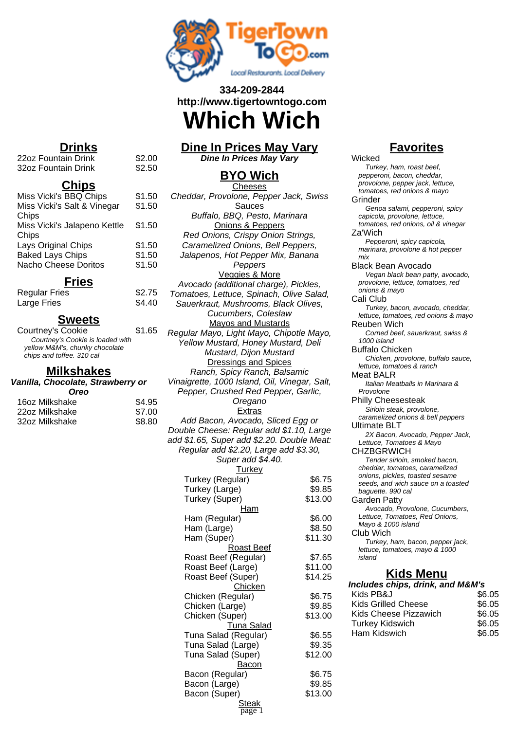

# **334-209-2844 http://www.tigertowntogo.com**

# **Which Wich**

# **Dine In Prices May Vary**

**Dine In Prices May Vary**

#### **BYO Wich Cheeses**

0. 0. Cheddar, Provolone, Pepper Jack, Swiss Sauces Buffalo, BBQ, Pesto, Marinara Onions & Peppers Red Onions, Crispy Onion Strings, Caramelized Onions, Bell Peppers, Jalapenos, Hot Pepper Mix, Banana Peppers Veggies & More Avocado (additional charge), Pickles, Tomatoes, Lettuce, Spinach, Olive Salad, Sauerkraut, Mushrooms, Black Olives, Cucumbers, Coleslaw Mayos and Mustards Regular Mayo, Light Mayo, Chipotle Mayo, Yellow Mustard, Honey Mustard, Deli Mustard, Dijon Mustard Dressings and Spices Ranch, Spicy Ranch, Balsamic Vinaigrette, 1000 Island, Oil, Vinegar, Salt, Pepper, Crushed Red Pepper, Garlic, Oregano Extras Add Bacon, Avocado, Sliced Egg or Double Cheese: Regular add \$1.10, Large add \$1.65, Super add \$2.20. Double Meat: Regular add \$2.20, Large add \$3.30, Super add \$4.40. **Turkey** Turkey (Regular) \$6.75 Turkey (Large) \$9.85 Turkey (Super) \$13.00 Ham Ham (Regular) \$6.00 Ham (Large) \$8.50 Ham (Super) \$11.30 Roast Beef Roast Beef (Regular) \$7.65 Roast Beef (Large) \$11.00 Roast Beef (Super) \$14.25 Chicken Chicken (Regular) \$6.75 Chicken (Large) \$9.85 Chicken (Super) \$13.00 Tuna Salad Tuna Salad (Regular) \$6.55 Tuna Salad (Large) \$9.35 Tuna Salad (Super) \$12.00 Bacon Bacon (Regular) \$6.75 Bacon (Large) \$9.85

> Bacon (Super) \$13.00 **Steak**

page 1

## **Favorites**

**Wicked** 

Turkey, ham, roast beef, pepperoni, bacon, cheddar, provolone, pepper jack, lettuce, tomatoes, red onions & mayo Grinder Genoa salami, pepperoni, spicy capicola, provolone, lettuce, tomatoes, red onions, oil & vinegar Za'Wich Pepperoni, spicy capicola, marinara, provolone & hot pepper mix Black Bean Avocado Vegan black bean patty, avocado, provolone, lettuce, tomatoes, red onions & mayo Cali Club Turkey, bacon, avocado, cheddar, lettuce, tomatoes, red onions & mayo Reuben Wich Corned beef, sauerkraut, swiss & 1000 island Buffalo Chicken Chicken, provolone, buffalo sauce, lettuce, tomatoes & ranch Meat BALR Italian Meatballs in Marinara & Provolone Philly Cheesesteak Sirloin steak, provolone, caramelized onions & bell peppers Ultimate BLT 2X Bacon, Avocado, Pepper Jack, Lettuce, Tomatoes & Mayo **CHZBGRWICH** Tender sirloin, smoked bacon, cheddar, tomatoes, caramelized onions, pickles, toasted sesame seeds, and wich sauce on a toasted baguette. 990 cal Garden Patty Avocado, Provolone, Cucumbers, Lettuce, Tomatoes, Red Onions, Mayo & 1000 island Club Wich Turkey, ham, bacon, pepper jack, lettuce, tomatoes, mayo & 1000 island **Kids Menu Includes chips, drink, and M&M's**  $Kids$  PB&J  $$6.05$ Kids Grilled Cheese \$6.05 Kids Cheese Pizzawich \$6.05 Turkey Kidswich **\$6.05** Ham Kidswich  $\$6.05$ 

# **Drinks**

22oz Fountain Drink \$2.00<br>32oz Fountain Drink \$2.50 32oz Fountain Drink

#### **Chips**

| Miss Vicki's BBQ Chips       | \$1.50 |
|------------------------------|--------|
| Miss Vicki's Salt & Vinegar  | \$1.50 |
| Chips                        |        |
| Miss Vicki's Jalapeno Kettle | \$1.50 |
| Chips                        |        |
| Lays Original Chips          | \$1.50 |
| <b>Baked Lays Chips</b>      | \$1.50 |
| Nacho Cheese Doritos         | \$1.50 |

### **Fries**

| <b>Regular Fries</b> | \$2.75 |
|----------------------|--------|
| Large Fries          | \$4.40 |

#### **Sweets**

Courtney's Cookie \$1.65 Courtney's Cookie is loaded with yellow M&M's, chunky chocolate chips and toffee. 310 cal

#### **Milkshakes**

| Vanilla, Chocolate, Strawberry or |      |
|-----------------------------------|------|
| <b>Oreo</b>                       |      |
| 1607 Milkehaka                    | ድ⊿ C |

| 16oz Milkshake | \$4.95 |
|----------------|--------|
| 22oz Milkshake | \$7.00 |
| 32oz Milkshake | \$8.80 |